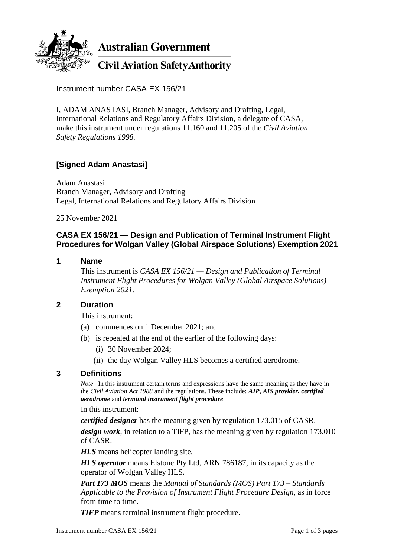

**Australian Government** 

# **Civil Aviation Safety Authority**

Instrument number CASA EX 156/21

I, ADAM ANASTASI, Branch Manager, Advisory and Drafting, Legal, International Relations and Regulatory Affairs Division, a delegate of CASA, make this instrument under regulations 11.160 and 11.205 of the *Civil Aviation Safety Regulations 1998.*

## **[Signed Adam Anastasi]**

Adam Anastasi Branch Manager, Advisory and Drafting Legal, International Relations and Regulatory Affairs Division

25 November 2021

### **CASA EX 156/21 — Design and Publication of Terminal Instrument Flight Procedures for Wolgan Valley (Global Airspace Solutions) Exemption 2021**

#### **1 Name**

This instrument is *CASA EX 156/21 — Design and Publication of Terminal Instrument Flight Procedures for Wolgan Valley (Global Airspace Solutions) Exemption 2021.*

#### **2 Duration**

This instrument:

- (a) commences on 1 December 2021; and
- (b) is repealed at the end of the earlier of the following days:
	- (i) 30 November 2024;
	- (ii) the day Wolgan Valley HLS becomes a certified aerodrome.

#### **3 Definitions**

*Note* In this instrument certain terms and expressions have the same meaning as they have in the *Civil Aviation Act 1988* and the regulations. These include: *AIP*, *AIS provider***,** *certified aerodrome* and *terminal instrument flight procedure*.

In this instrument:

*certified designer* has the meaning given by regulation 173.015 of CASR.

*design work*, in relation to a TIFP, has the meaning given by regulation 173.010 of CASR.

*HLS* means helicopter landing site.

*HLS operator* means Elstone Pty Ltd, ARN 786187, in its capacity as the operator of Wolgan Valley HLS.

*Part 173 MOS* means the *Manual of Standards (MOS) Part 173 – Standards Applicable to the Provision of Instrument Flight Procedure Design*, as in force from time to time.

*TIFP* means terminal instrument flight procedure.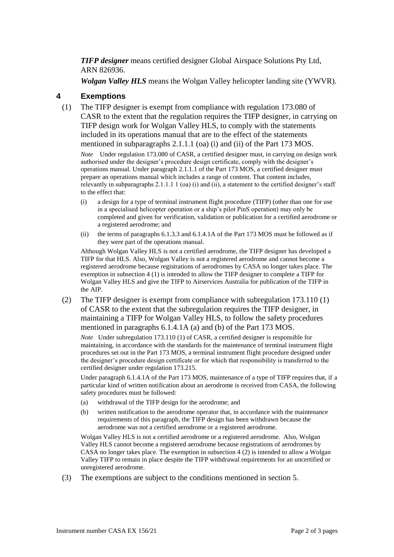*TIFP designer* means certified designer Global Airspace Solutions Pty Ltd, ARN 826936.

*Wolgan Valley HLS* means the Wolgan Valley helicopter landing site (YWVR).

#### **4 Exemptions**

(1) The TIFP designer is exempt from compliance with regulation 173.080 of CASR to the extent that the regulation requires the TIFP designer, in carrying on TIFP design work for Wolgan Valley HLS, to comply with the statements included in its operations manual that are to the effect of the statements mentioned in subparagraphs 2.1.1.1 (oa) (i) and (ii) of the Part 173 MOS.

*Note* Under regulation 173.080 of CASR, a certified designer must, in carrying on design work authorised under the designer's procedure design certificate, comply with the designer's operations manual. Under paragraph 2.1.1.1 of the Part 173 MOS, a certified designer must prepare an operations manual which includes a range of content. That content includes, relevantly in subparagraphs 2.1.1.1 1 (oa) (i) and (ii), a statement to the certified designer's staff to the effect that:

- (i) a design for a type of terminal instrument flight procedure (TIFP) (other than one for use in a specialised helicopter operation or a ship's pilot PinS operation) may only be completed and given for verification, validation or publication for a certified aerodrome or a registered aerodrome; and
- (ii) the terms of paragraphs 6.1.3.3 and 6.1.4.1A of the Part 173 MOS must be followed as if they were part of the operations manual.

Although Wolgan Valley HLS is not a certified aerodrome, the TIFP designer has developed a TIFP for that HLS. Also, Wolgan Valley is not a registered aerodrome and cannot become a registered aerodrome because registrations of aerodromes by CASA no longer takes place. The exemption in subsection 4 (1) is intended to allow the TIFP designer to complete a TIFP for Wolgan Valley HLS and give the TIFP to Airservices Australia for publication of the TIFP in the AIP.

(2) The TIFP designer is exempt from compliance with subregulation 173.110 (1) of CASR to the extent that the subregulation requires the TIFP designer, in maintaining a TIFP for Wolgan Valley HLS, to follow the safety procedures mentioned in paragraphs 6.1.4.1A (a) and (b) of the Part 173 MOS.

*Note* Under subregulation 173.110 (1) of CASR, a certified designer is responsible for maintaining, in accordance with the standards for the maintenance of terminal instrument flight procedures set out in the Part 173 MOS, a terminal instrument flight procedure designed under the designer's procedure design certificate or for which that responsibility is transferred to the certified designer under regulation 173.215.

Under paragraph 6.1.4.1A of the Part 173 MOS, maintenance of a type of TIFP requires that, if a particular kind of written notification about an aerodrome is received from CASA, the following safety procedures must be followed:

- (a) withdrawal of the TIFP design for the aerodrome; and
- (b) written notification to the aerodrome operator that, in accordance with the maintenance requirements of this paragraph, the TIFP design has been withdrawn because the aerodrome was not a certified aerodrome or a registered aerodrome.

Wolgan Valley HLS is not a certified aerodrome or a registered aerodrome. Also, Wolgan Valley HLS cannot become a registered aerodrome because registrations of aerodromes by CASA no longer takes place. The exemption in subsection  $4(2)$  is intended to allow a Wolgan Valley TIFP to remain in place despite the TIFP withdrawal requirements for an uncertified or unregistered aerodrome.

(3) The exemptions are subject to the conditions mentioned in section 5.